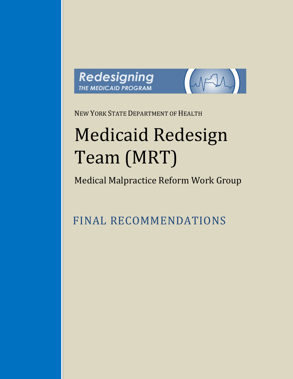



NEW YORK STATE DEPARTMENT OF HEALTH

# Medicaid Redesign Team (MRT)

Medical Malpractice Reform Work Group

FINAL RECOMMENDATIONS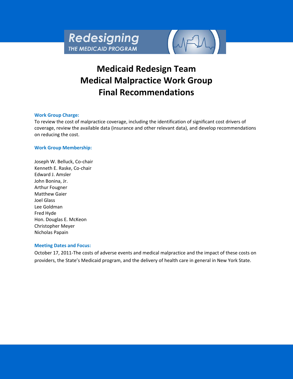

# **Medicaid Redesign Team Medical Malpractice Work Group Final Recommendations**

## **Work Group Charge:**

To review the cost of malpractice coverage, including the identification of significant cost drivers of coverage, review the available data (insurance and other relevant data), and develop recommendations on reducing the cost.

## **Work Group Membership:**

Joseph W. Belluck, Co-chair Kenneth E. Raske, Co-chair Edward J. Amsler John Bonina, Jr. Arthur Fougner Matthew Gaier Joel Glass Lee Goldman Fred Hyde Hon. Douglas E. McKeon Christopher Meyer Nicholas Papain

#### **Meeting Dates and Focus:**

October 17, 2011-The costs of adverse events and medical malpractice and the impact of these costs on providers, the State's Medicaid program, and the delivery of health care in general in New York State.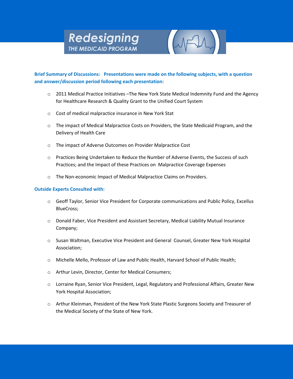# Redesigning THE MEDICAID PROGRAM



# **Brief Summary of Discussions: Presentations were made on the following subjects, with a question and answer/discussion period following each presentation:**

- o 2011 Medical Practice Initiatives –The New York State Medical Indemnity Fund and the Agency for Healthcare Research & Quality Grant to the Unified Court System
- o Cost of medical malpractice insurance in New York Stat
- o The impact of Medical Malpractice Costs on Providers, the State Medicaid Program, and the Delivery of Health Care
- o The impact of Adverse Outcomes on Provider Malpractice Cost
- o Practices Being Undertaken to Reduce the Number of Adverse Events, the Success of such Practices; and the Impact of these Practices on Malpractice Coverage Expenses
- o The Non-economic Impact of Medical Malpractice Claims on Providers.

# **Outside Experts Consulted with:**

- o Geoff Taylor, Senior Vice President for Corporate communications and Public Policy, Excellus BlueCross;
- o Donald Faber, Vice President and Assistant Secretary, Medical Liability Mutual Insurance Company;
- o Susan Waltman, Executive Vice President and General Counsel, Greater New York Hospital Association;
- o Michelle Mello, Professor of Law and Public Health, Harvard School of Public Health;
- o Arthur Levin, Director, Center for Medical Consumers;
- o Lorraine Ryan, Senior Vice President, Legal, Regulatory and Professional Affairs, Greater New York Hospital Association;
- o Arthur Kleinman, President of the New York State Plastic Surgeons Society and Treasurer of the Medical Society of the State of New York.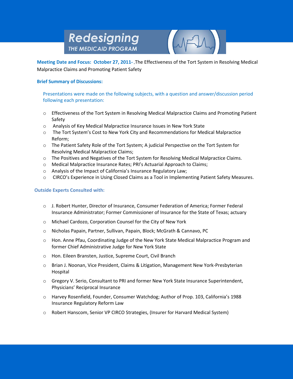# Redesigning **THE MEDICAID PROGRAM**



**Meeting Date and Focus: October 27, 2011-** The Effectiveness of the Tort System in Resolving Medical Malpractice Claims and Promoting Patient Safety

# **Brief Summary of Discussions:**

Presentations were made on the following subjects, with a question and answer/discussion period following each presentation:

- o Effectiveness of the Tort System in Resolving Medical Malpractice Claims and Promoting Patient Safety
- o Analysis of Key Medical Malpractice Insurance Issues in New York State
- o The Tort System's Cost to New York City and Recommendations for Medical Malpractice Reform;
- o The Patient Safety Role of the Tort System; A judicial Perspective on the Tort System for Resolving Medical Malpractice Claims;
- o The Positives and Negatives of the Tort System for Resolving Medical Malpractice Claims.
- o Medical Malpractice Insurance Rates; PRI's Actuarial Approach to Claims;
- o Analysis of the Impact of California's Insurance Regulatory Law;
- o CIRCO's Experience in Using Closed Claims as a Tool in Implementing Patient Safety Measures.

# **Outside Experts Consulted with:**

- o J. Robert Hunter, Director of Insurance, Consumer Federation of America; Former Federal Insurance Administrator; Former Commissioner of Insurance for the State of Texas; actuary
- o Michael Cardozo, Corporation Counsel for the City of New York
- o Nicholas Papain, Partner, Sullivan, Papain, Block; McGrath & Cannavo, PC
- o Hon. Anne Pfau, Coordinating Judge of the New York State Medical Malpractice Program and former Chief Administrative Judge for New York State
- o Hon. Eileen Bransten, Justice, Supreme Court, Civil Branch
- o Brian J. Noonan, Vice President, Claims & Litigation, Management New York-Presbyterian Hospital
- o Gregory V. Serio, Consultant to PRI and former New York State Insurance Superintendent, Physicians' Reciprocal Insurance
- o Harvey Rosenfield, Founder, Consumer Watchdog; Author of Prop. 103, California's 1988 Insurance Regulatory Reform Law
- o Robert Hanscom, Senior VP CIRCO Strategies, (Insurer for Harvard Medical System)